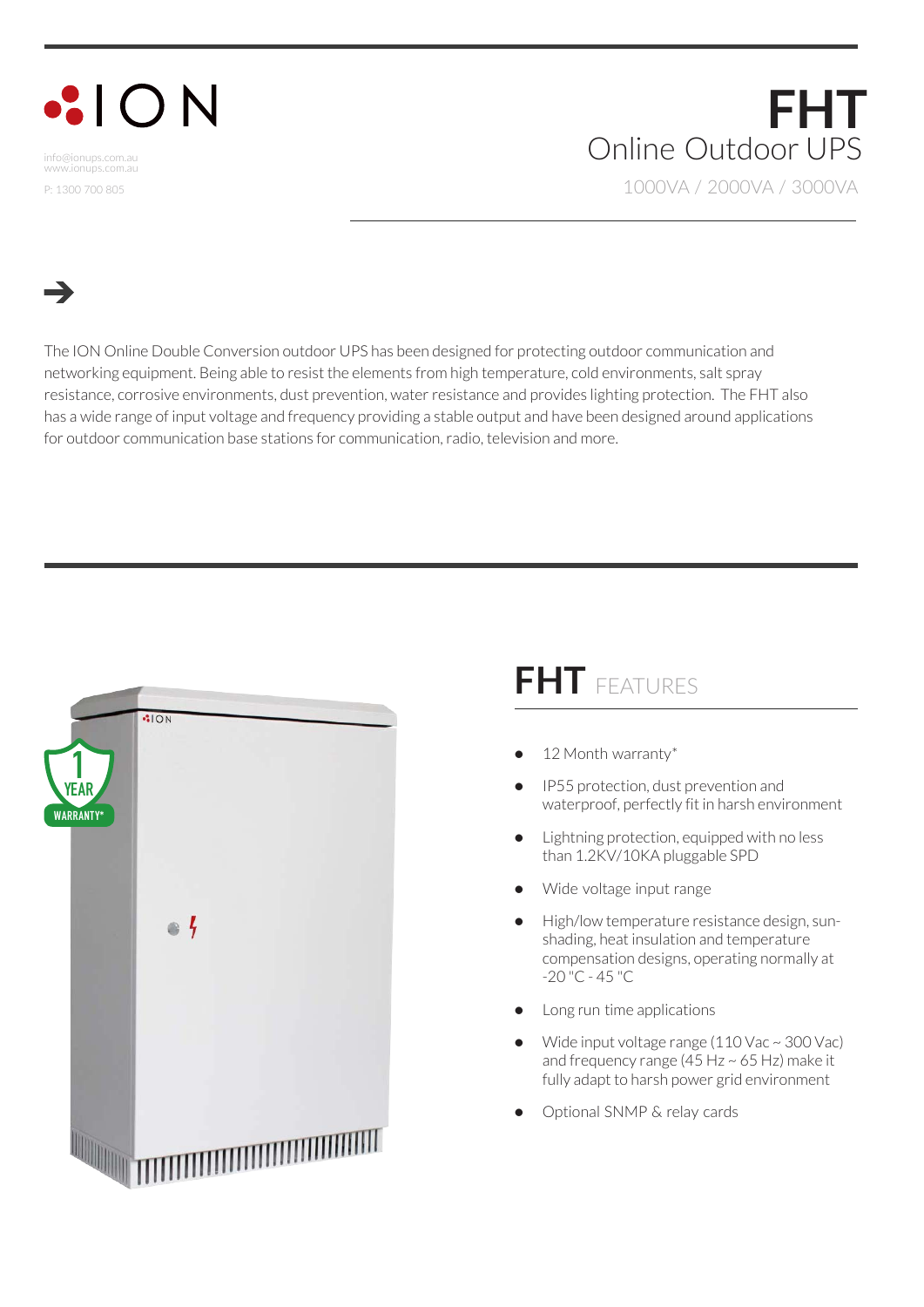## $|O N$

info@ionups.com.au www.ionups.com.au P: 1300 700 805

## **FHT** Online Outdoor UPS 1000VA / 2000VA / 3000VA

The ION Online Double Conversion outdoor UPS has been designed for protecting outdoor communication and networking equipment. Being able to resist the elements from high temperature, cold environments, salt spray resistance, corrosive environments, dust prevention, water resistance and provides lighting protection. The FHT also has a wide range of input voltage and frequency providing a stable output and have been designed around applications for outdoor communication base stations for communication, radio, television and more.



## **FHT** FEATURES

- 12 Month warranty\*
- IP55 protection, dust prevention and waterproof, perfectly fit in harsh environment
- Lightning protection, equipped with no less than 1.2KV/10KA pluggable SPD
- Wide voltage input range
- High/low temperature resistance design, sunshading, heat insulation and temperature compensation designs, operating normally at -20 "C - 45 "C
- Long run time applications
- Wide input voltage range (110 Vac ~ 300 Vac) and frequency range (45 Hz  $\sim$  65 Hz) make it fully adapt to harsh power grid environment
- Optional SNMP & relay cards